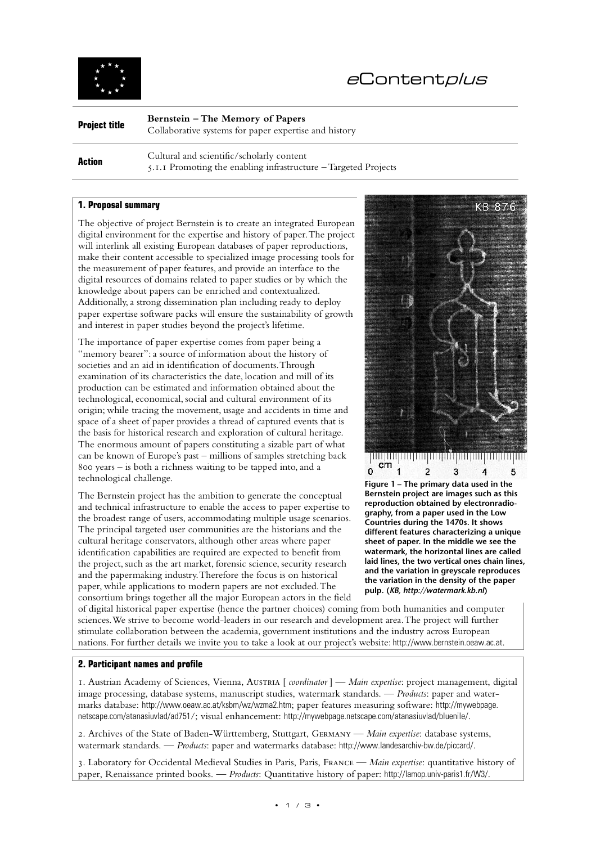

# <sup>e</sup>Contentplus

| <b>Project title</b> | Bernstein – The Memory of Papers                      |
|----------------------|-------------------------------------------------------|
|                      | Collaborative systems for paper expertise and history |

**Action Cultural and scientific/scholarly content** 5.1.1 Promoting the enabling infrastructure – Targeted Projects

## **1. Proposal summary**

The objective of project Bernstein is to create an integrated European digital environment for the expertise and history of paper. The project will interlink all existing European databases of paper reproductions, make their content accessible to specialized image processing tools for the measurement of paper features, and provide an interface to the digital resources of domains related to paper studies or by which the knowledge about papers can be enriched and contextualized. Additionally, a strong dissemination plan including ready to deploy paper expertise software packs will ensure the sustainability of growth and interest in paper studies beyond the project's lifetime.

The importance of paper expertise comes from paper being a "memory bearer": a source of information about the history of societies and an aid in identification of documents. Through examination of its characteristics the date, location and mill of its production can be estimated and information obtained about the technological, economical, social and cultural environment of its origin; while tracing the movement, usage and accidents in time and space of a sheet of paper provides a thread of captured events that is the basis for historical research and exploration of cultural heritage. The enormous amount of papers constituting a sizable part of what can be known of Europe's past – millions of samples stretching back 800 years – is both a richness waiting to be tapped into, and a technological challenge.

The Bernstein project has the ambition to generate the conceptual and technical infrastructure to enable the access to paper expertise to the broadest range of users, accommodating multiple usage scenarios. The principal targeted user communities are the historians and the cultural heritage conservators, although other areas where paper identification capabilities are required are expected to benefit from the project, such as the art market, forensic science, security research and the papermaking industry. Therefore the focus is on historical paper, while applications to modern papers are not excluded. The consortium brings together all the major European actors in the field



**Bernstein project are images such as this reproduction obtained by electronradiography, from a paper used in the Low Countries during the 1470s. It shows different features characterizing a unique sheet of paper. In the middle we see the watermark, the horizontal lines are called laid lines, the two vertical ones chain lines, and the variation in greyscale reproduces the variation in the density of the paper pulp. (***KB, http://watermark.kb.nl***)** 

of digital historical paper expertise (hence the partner choices) coming from both humanities and computer sciences. We strive to become world-leaders in our research and development area. The project will further stimulate collaboration between the academia, government institutions and the industry across European nations. For further details we invite you to take a look at our project's website: http://www.bernstein.oeaw.ac.at.

## **2. Participant names and profile**

1. Austrian Academy of Sciences, Vienna, Austria [ *coordinator* ] — *Main expertise*: project management, digital image processing, database systems, manuscript studies, watermark standards. — *Products*: paper and watermarks database: http://www.oeaw.ac.at/ksbm/wz/wzma2.htm; paper features measuring software: http://mywebpage. netscape.com/atanasiuvlad/ad751/; visual enhancement: http://mywebpage.netscape.com/atanasiuvlad/bluenile/.

2. Archives of the State of Baden-Württemberg, Stuttgart, Germany — *Main expertise*: database systems, watermark standards. — *Products*: paper and watermarks database: http://www.landesarchiv-bw.de/piccard/.

3. Laboratory for Occidental Medieval Studies in Paris, Paris, France — *Main expertise*: quantitative history of paper, Renaissance printed books. — *Products*: Quantitative history of paper: http://lamop.univ-paris1.fr/W3/.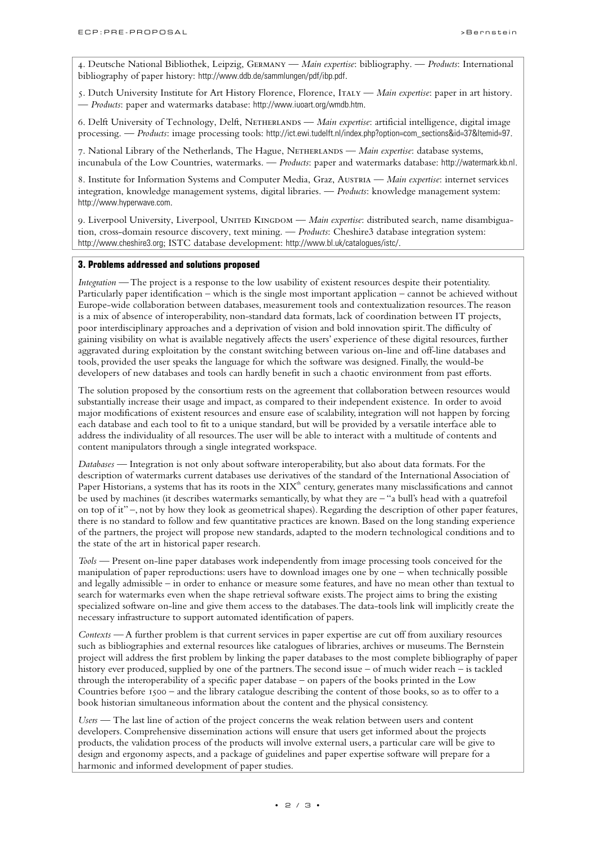4. Deutsche National Bibliothek, Leipzig, Germany — *Main expertise*: bibliography. — *Products*: International bibliography of paper history: http://www.ddb.de/sammlungen/pdf/ibp.pdf.

5. Dutch University Institute for Art History Florence, Florence, Italy — *Main expertise*: paper in art history. — *Products*: paper and watermarks database: http://www.iuoart.org/wmdb.htm.

6. Delft University of Technology, Delft, Netherlands — *Main expertise*: artificial intelligence, digital image processing. — *Products*: image processing tools: http://ict.ewi.tudelft.nl/index.php?option=com\_sections&id=37&Itemid=97.

7. National Library of the Netherlands, The Hague, Netherlands — *Main expertise*: database systems, incunabula of the Low Countries, watermarks. — *Products*: paper and watermarks database: http://watermark.kb.nl.

8. Institute for Information Systems and Computer Media, Graz, Austria — *Main expertise*: internet services integration, knowledge management systems, digital libraries. — *Products*: knowledge management system: http://www.hyperwave.com.

9. Liverpool University, Liverpool, UNITED KINGDOM — Main expertise: distributed search, name disambiguation, cross-domain resource discovery, text mining. — *Products*: Cheshire3 database integration system: http://www.cheshire3.org; ISTC database development: http://www.bl.uk/catalogues/istc/.

### **3. Problems addressed and solutions proposed**

*Integration* — The project is a response to the low usability of existent resources despite their potentiality. Particularly paper identification – which is the single most important application – cannot be achieved without Europe-wide collaboration between databases, measurement tools and contextualization resources. The reason is a mix of absence of interoperability, non-standard data formats, lack of coordination between IT projects, poor interdisciplinary approaches and a deprivation of vision and bold innovation spirit. The difficulty of gaining visibility on what is available negatively affects the users' experience of these digital resources, further aggravated during exploitation by the constant switching between various on-line and off-line databases and tools, provided the user speaks the language for which the software was designed. Finally, the would-be developers of new databases and tools can hardly benefit in such a chaotic environment from past efforts.

The solution proposed by the consortium rests on the agreement that collaboration between resources would substantially increase their usage and impact, as compared to their independent existence. In order to avoid major modifications of existent resources and ensure ease of scalability, integration will not happen by forcing each database and each tool to fit to a unique standard, but will be provided by a versatile interface able to address the individuality of all resources. The user will be able to interact with a multitude of contents and content manipulators through a single integrated workspace.

*Databases* — Integration is not only about software interoperability, but also about data formats. For the description of watermarks current databases use derivatives of the standard of the International Association of Paper Historians, a systems that has its roots in the XIX<sup>th</sup> century, generates many misclassifications and cannot be used by machines (it describes watermarks semantically, by what they are – "a bull's head with a quatrefoil on top of it" –, not by how they look as geometrical shapes). Regarding the description of other paper features, there is no standard to follow and few quantitative practices are known. Based on the long standing experience of the partners, the project will propose new standards, adapted to the modern technological conditions and to the state of the art in historical paper research.

*Tools* — Present on-line paper databases work independently from image processing tools conceived for the manipulation of paper reproductions: users have to download images one by one – when technically possible and legally admissible – in order to enhance or measure some features, and have no mean other than textual to search for watermarks even when the shape retrieval software exists. The project aims to bring the existing specialized software on-line and give them access to the databases. The data-tools link will implicitly create the necessary infrastructure to support automated identification of papers.

*Contexts* — A further problem is that current services in paper expertise are cut off from auxiliary resources such as bibliographies and external resources like catalogues of libraries, archives or museums. The Bernstein project will address the first problem by linking the paper databases to the most complete bibliography of paper history ever produced, supplied by one of the partners. The second issue – of much wider reach – is tackled through the interoperability of a specific paper database – on papers of the books printed in the Low Countries before 1500 – and the library catalogue describing the content of those books, so as to offer to a book historian simultaneous information about the content and the physical consistency.

*Users* — The last line of action of the project concerns the weak relation between users and content developers. Comprehensive dissemination actions will ensure that users get informed about the projects products, the validation process of the products will involve external users, a particular care will be give to design and ergonomy aspects, and a package of guidelines and paper expertise software will prepare for a harmonic and informed development of paper studies.